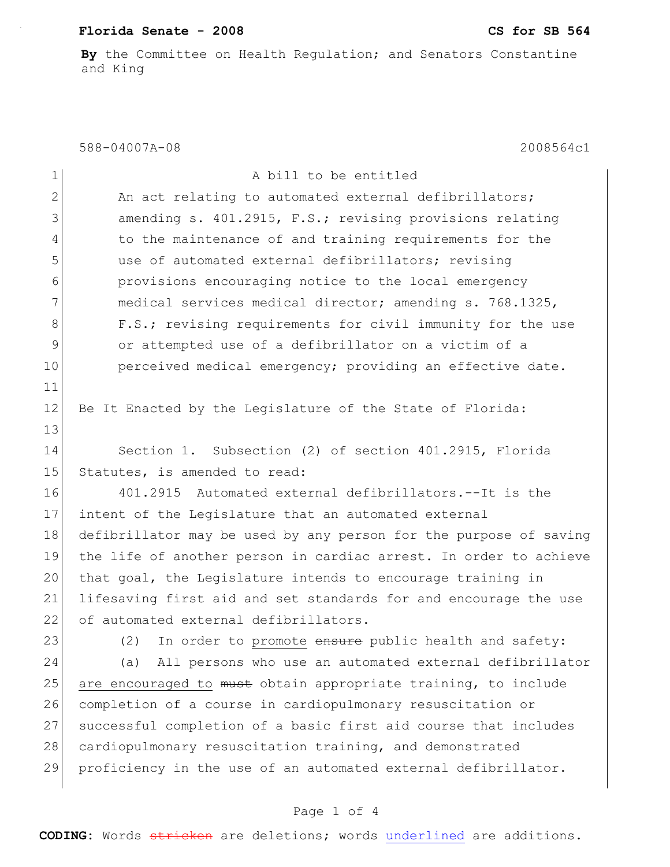## **Florida Senate - 2008 CS for SB 564**

**By** the Committee on Health Regulation; and Senators Constantine and King

#### 588-04007A-08 2008564c1

| $\mathbf 1$    | A bill to be entitled                                             |
|----------------|-------------------------------------------------------------------|
| $\mathbf{2}$   | An act relating to automated external defibrillators;             |
| 3              | amending s. 401.2915, F.S.; revising provisions relating          |
| $\overline{4}$ | to the maintenance of and training requirements for the           |
| 5              | use of automated external defibrillators; revising                |
| 6              | provisions encouraging notice to the local emergency              |
| 7              | medical services medical director; amending s. 768.1325,          |
| 8              | F.S.; revising requirements for civil immunity for the use        |
| 9              | or attempted use of a defibrillator on a victim of a              |
| 10             | perceived medical emergency; providing an effective date.         |
| 11             |                                                                   |
| 12             | Be It Enacted by the Legislature of the State of Florida:         |
| 13             |                                                                   |
| 14             | Section 1. Subsection (2) of section 401.2915, Florida            |
| 15             | Statutes, is amended to read:                                     |
| 16             | 401.2915 Automated external defibrillators.--It is the            |
| 17             | intent of the Legislature that an automated external              |
| 18             | defibrillator may be used by any person for the purpose of saving |
| 19             | the life of another person in cardiac arrest. In order to achieve |
| 20             | that goal, the Legislature intends to encourage training in       |
| 21             | lifesaving first aid and set standards for and encourage the use  |
| 22             | of automated external defibrillators.                             |
| 23             | In order to promote ensure public health and safety:<br>(2)       |
| 24             | All persons who use an automated external defibrillator<br>(a)    |
| 25             | are encouraged to must obtain appropriate training, to include    |
| 26             | completion of a course in cardiopulmonary resuscitation or        |
| 27             | successful completion of a basic first aid course that includes   |
| 28             | cardiopulmonary resuscitation training, and demonstrated          |
| 29             | proficiency in the use of an automated external defibrillator.    |
|                |                                                                   |

# Page 1 of 4

**CODING:** Words stricken are deletions; words underlined are additions.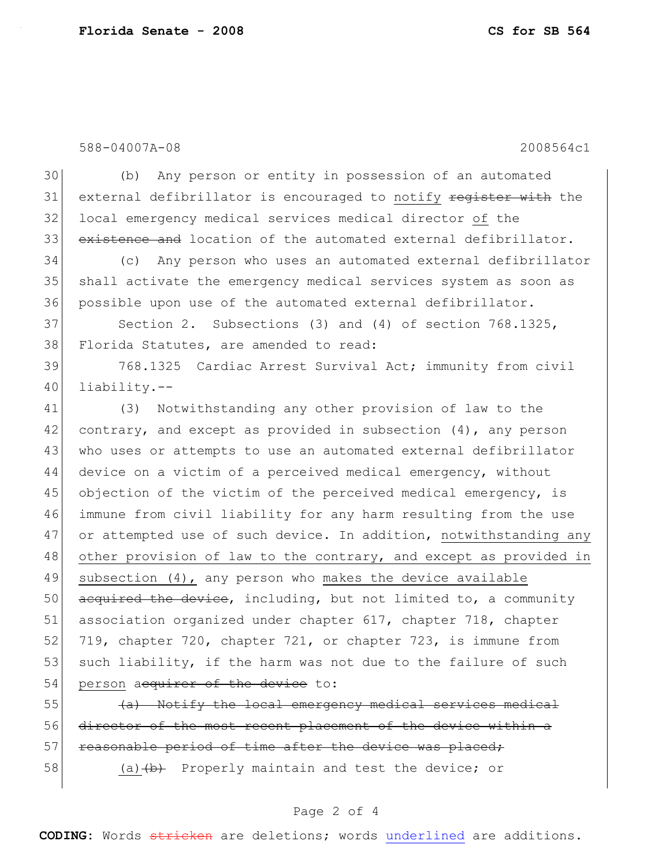588-04007A-08 2008564c1

30 (b) Any person or entity in possession of an automated 31 external defibrillator is encouraged to notify register with the 32 local emergency medical services medical director of the 33 existence and location of the automated external defibrillator.

34 (c) Any person who uses an automated external defibrillator 35 shall activate the emergency medical services system as soon as 36 possible upon use of the automated external defibrillator.

37 Section 2. Subsections (3) and (4) of section 768.1325, 38 Florida Statutes, are amended to read:

39 768.1325 Cardiac Arrest Survival Act; immunity from civil 40 liability.--

41 (3) Notwithstanding any other provision of law to the 42 contrary, and except as provided in subsection  $(4)$ , any person 43 who uses or attempts to use an automated external defibrillator 44 device on a victim of a perceived medical emergency, without 45 objection of the victim of the perceived medical emergency, is 46 immune from civil liability for any harm resulting from the use 47 or attempted use of such device. In addition, notwithstanding any 48 other provision of law to the contrary, and except as provided in 49 subsection (4), any person who makes the device available  $50$  acquired the device, including, but not limited to, a community 51 association organized under chapter 617, chapter 718, chapter 52 719, chapter 720, chapter 721, or chapter 723, is immune from 53 such liability, if the harm was not due to the failure of such 54 person acquirer of the device to:

 $\left\{\left(\frac{a}{b}\right)\right\}$  Notify the local emergency medical services medical 56 director of the most recent placement of the device within a 57 reasonable period of time after the device was placed;

58 (a) (a) Ab Properly maintain and test the device; or

### Page 2 of 4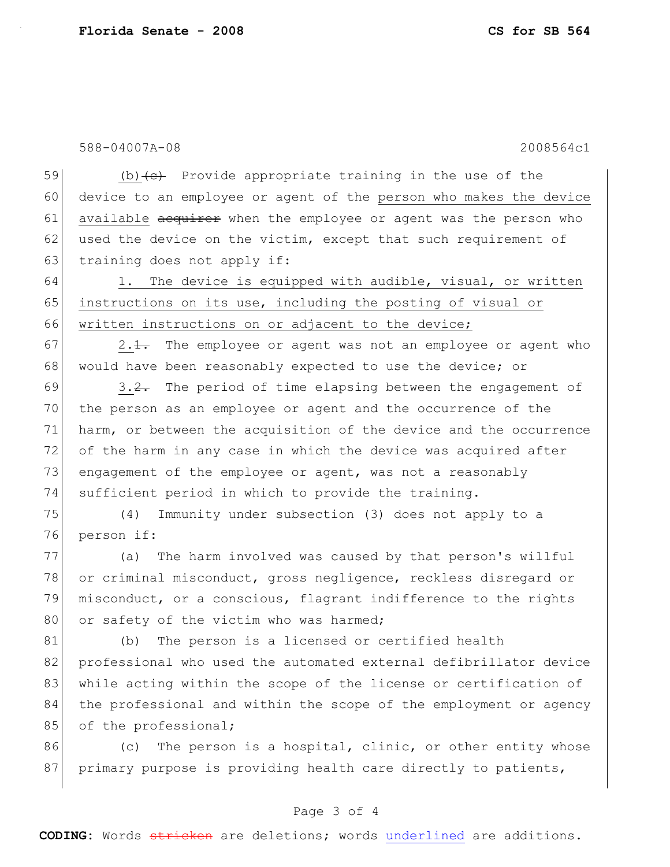588-04007A-08 2008564c1

59 (b)  $\left( e \right)$  Provide appropriate training in the use of the 60 device to an employee or agent of the person who makes the device 61 available acquirer when the employee or agent was the person who 62 used the device on the victim, except that such requirement of 63 training does not apply if:

64 1. The device is equipped with audible, visual, or written 65 instructions on its use, including the posting of visual or 66 written instructions on or adjacent to the device;

 $67$  2.1. The employee or agent was not an employee or agent who 68 would have been reasonably expected to use the device; or

 $69$  3.2. The period of time elapsing between the engagement of 70 the person as an employee or agent and the occurrence of the 71 harm, or between the acquisition of the device and the occurrence 72 of the harm in any case in which the device was acquired after 73 engagement of the employee or agent, was not a reasonably 74 sufficient period in which to provide the training.

75 (4) Immunity under subsection (3) does not apply to a 76 person if:

77 (a) The harm involved was caused by that person's willful 78 or criminal misconduct, gross negligence, reckless disregard or 79 misconduct, or a conscious, flagrant indifference to the rights 80 or safety of the victim who was harmed;

81 (b) The person is a licensed or certified health 82 professional who used the automated external defibrillator device 83 while acting within the scope of the license or certification of 84 the professional and within the scope of the employment or agency 85 of the professional;

 $86$  (c) The person is a hospital, clinic, or other entity whose 87 primary purpose is providing health care directly to patients,

#### Page 3 of 4

**CODING:** Words stricken are deletions; words underlined are additions.